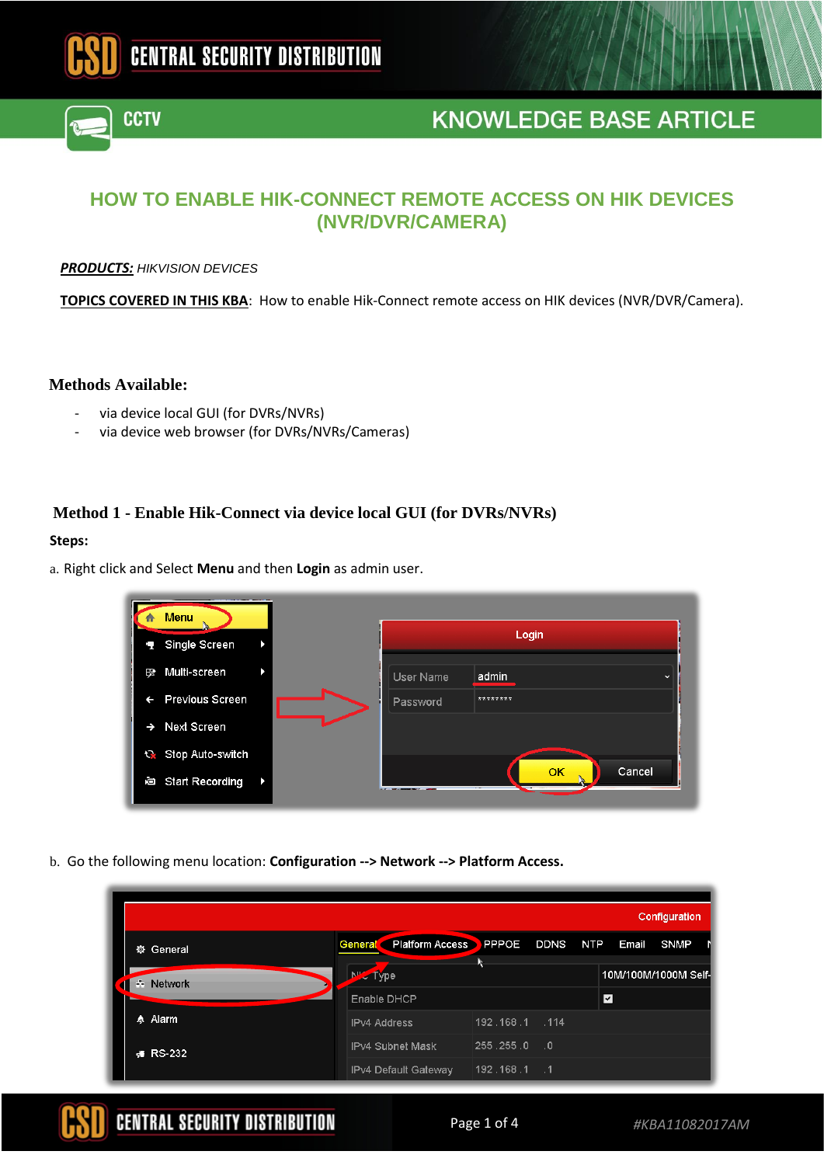

# **HOW TO ENABLE HIK-CONNECT REMOTE ACCESS ON HIK DEVICES (NVR/DVR/CAMERA)**

#### *PRODUCTS: HIKVISION DEVICES*

**CCTV** 

**TOPICS COVERED IN THIS KBA**: How to enable Hik-Connect remote access on HIK devices (NVR/DVR/Camera).

### **Methods Available:**

- via device local GUI (for DVRs/NVRs)
- via device web browser (for DVRs/NVRs/Cameras)

### **Method 1 - Enable Hik-Connect via device local GUI (for DVRs/NVRs)**

#### **Steps:**

a. Right click and Select **Menu** and then **Login** as admin user.

| Menu<br>n                        |           |                       |
|----------------------------------|-----------|-----------------------|
| Single Screen<br>r.              |           | Login                 |
| Multi-screen<br><b>DS</b>        | User Name | admin<br>$\checkmark$ |
| <b>Previous Screen</b><br>←      | Password  | ********              |
| Next Screen<br>$\rightarrow$     |           |                       |
| Stop Auto-switch                 |           |                       |
| <b>Start Recording</b><br>直<br>Þ |           | Cancel<br>OK          |

b. Go the following menu location: **Configuration --> Network --> Platform Access.** 

|           |                                   |                |      |                         |       | Configuration        |  |
|-----------|-----------------------------------|----------------|------|-------------------------|-------|----------------------|--|
| ※ General | <b>Platform Access</b><br>General | PPPOE DDNS NTP |      |                         | Email | <b>SNMP</b>          |  |
| - Network | N' <sup>2</sup> Type              |                |      |                         |       | 10M/100M/1000M Self- |  |
|           | Enable DHCP                       |                |      | $\overline{\mathbf{y}}$ |       |                      |  |
| A Alarm   | <b>IPv4 Address</b>               | 192.168.1 .114 |      |                         |       |                      |  |
| ∉ RS-232  | <b>IPv4 Subnet Mask</b>           | 255.255.0      | - .0 |                         |       |                      |  |
|           | IPv4 Default Gateway              | $192.168.1$ .1 |      |                         |       |                      |  |

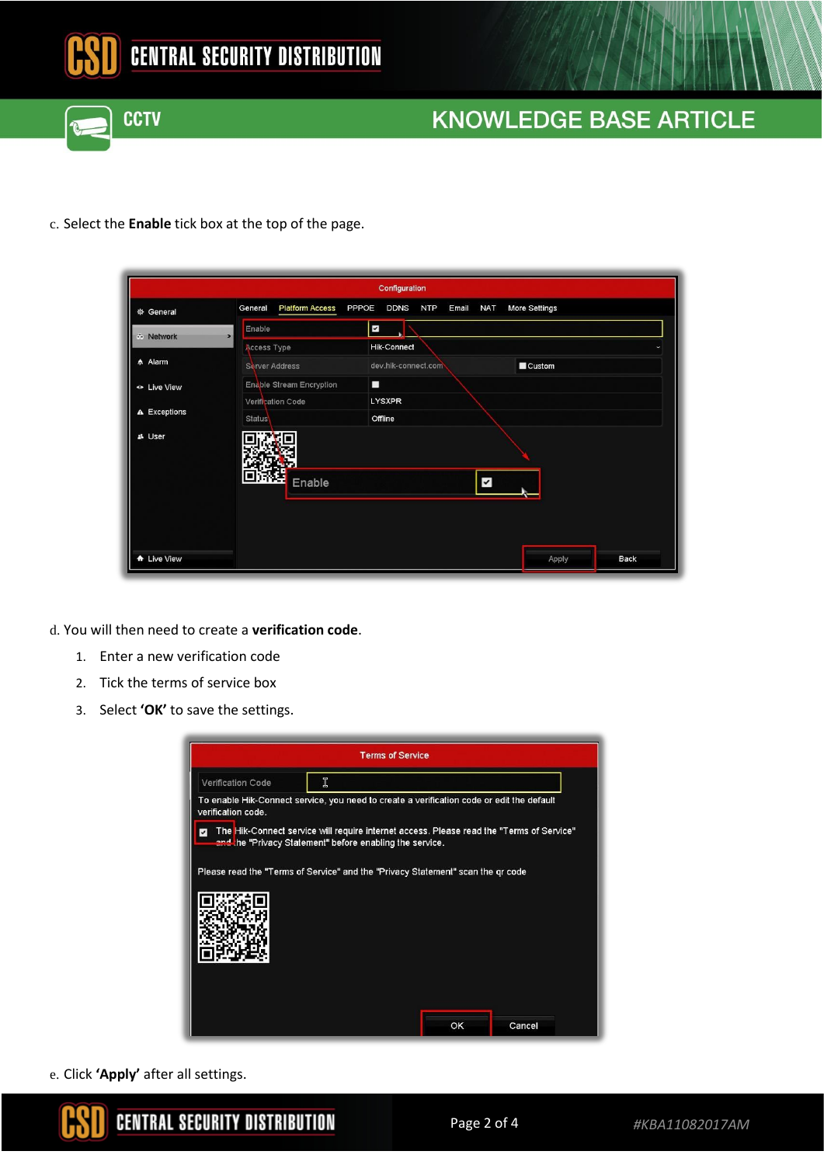



c. Select the **Enable** tick box at the top of the page.

| Configuration  |                                                                                                                 |  |  |  |
|----------------|-----------------------------------------------------------------------------------------------------------------|--|--|--|
| ※ General      | <b>Platform Access</b><br>More Settings<br>PPPOE<br><b>DDNS</b><br><b>NTP</b><br>Email<br><b>NAT</b><br>General |  |  |  |
| - Network      | $\blacktriangledown$<br>Enable<br>$\rightarrow$                                                                 |  |  |  |
| <b>☆ Alarm</b> | <b>Hik-Connect</b><br>Access Type                                                                               |  |  |  |
|                | dev.hik-connect.com<br>$\blacksquare$ Custom<br>Server Address                                                  |  |  |  |
| · Live View    | П<br>Enable Stream Encryption                                                                                   |  |  |  |
| A Exceptions   | <b>LYSXPR</b><br>Verification Code<br>Status<br>Offline                                                         |  |  |  |
| 과 User         |                                                                                                                 |  |  |  |
|                | $\blacktriangleright$<br>Enable                                                                                 |  |  |  |
|                |                                                                                                                 |  |  |  |
| A Live View    | <b>Back</b><br>Apply                                                                                            |  |  |  |

d. You will then need to create a **verification code**.

- 1. Enter a new verification code
- 2. Tick the terms of service box
- 3. Select **'OK'** to save the settings.

|                                                                                 | <b>Terms of Service</b>                                                                                                                              |    |        |  |
|---------------------------------------------------------------------------------|------------------------------------------------------------------------------------------------------------------------------------------------------|----|--------|--|
| Verification Code                                                               | Ï                                                                                                                                                    |    |        |  |
| verification code.                                                              | To enable Hik-Connect service, you need to create a verification code or edit the default                                                            |    |        |  |
|                                                                                 | The Hik-Connect service will require internet access. Please read the "Terms of Service"<br>and the "Privacy Statement" before enabling the service. |    |        |  |
| Please read the "Terms of Service" and the "Privacy Statement" scan the qr code |                                                                                                                                                      |    |        |  |
|                                                                                 |                                                                                                                                                      |    |        |  |
|                                                                                 |                                                                                                                                                      |    |        |  |
|                                                                                 |                                                                                                                                                      | ОК | Cancel |  |

e. Click **'Apply'** after all settings.

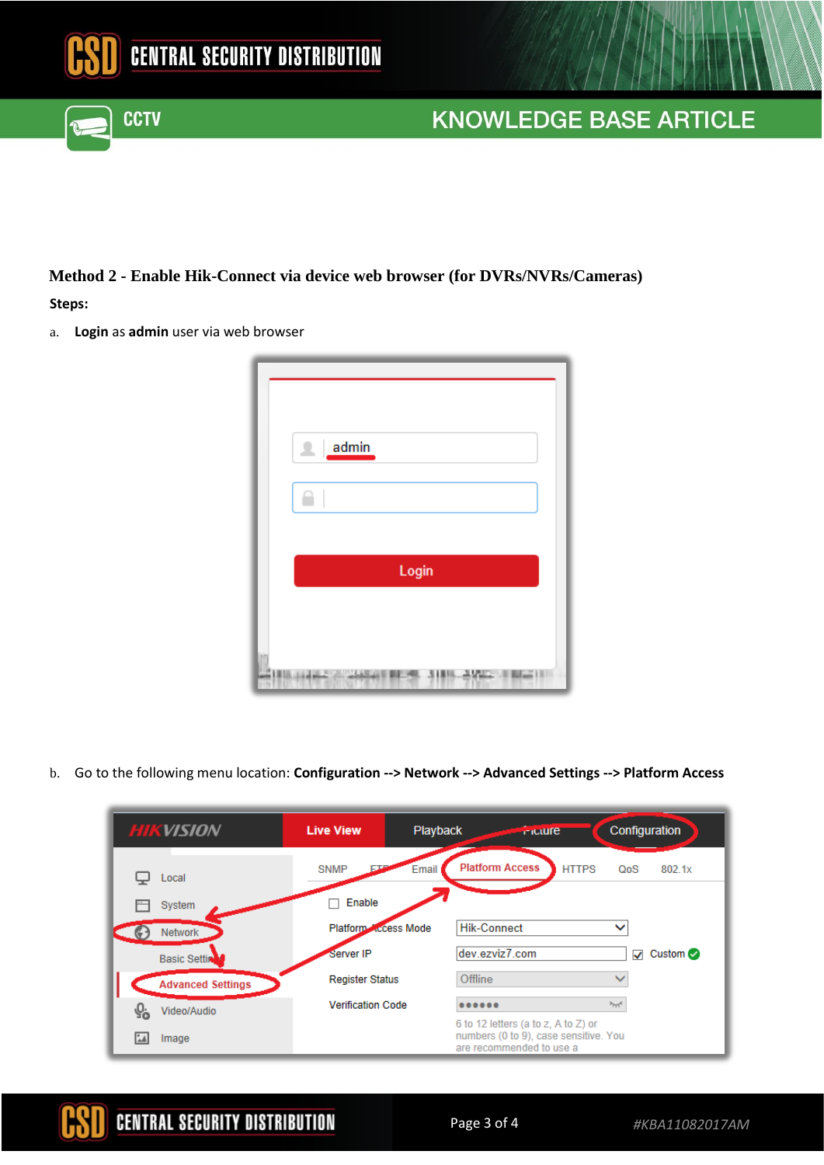

## **Method 2 - Enable Hik-Connect via device web browser (for DVRs/NVRs/Cameras)**

#### **Steps:**

a. **Login** as **admin** user via web browser

**CCTV** 

| admin<br>丄              |
|-------------------------|
| Login                   |
| 'n<br>Φ<br><b>ASTER</b> |

b. Go to the following menu location: **Configuration --> Network --> Advanced Settings --> Platform Access** 

| <b>HIKVISION</b>              | <b>Live View</b>         | Playback<br><b>Iniciare</b>                                                                              | Configuration                    |
|-------------------------------|--------------------------|----------------------------------------------------------------------------------------------------------|----------------------------------|
| Local                         | <b>SNMP</b><br>ЕT        | <b>Platform Access</b><br>Email                                                                          | <b>HTTPS</b><br>802.1x<br>QoS    |
| System                        | Enable                   |                                                                                                          |                                  |
| <b>Network</b>                | Platform Ccess Mode      | <b>Hik-Connect</b>                                                                                       |                                  |
| <b>Basic Settin</b>           | Server IP                | dev.ezviz7.com                                                                                           | Custom $\oslash$<br>$\checkmark$ |
| <b>Advanced Settings</b>      | <b>Register Status</b>   | Offline                                                                                                  |                                  |
| $Q_0$<br>Video/Audio          | <b>Verification Code</b> |                                                                                                          | $\sim$                           |
| $^{\circ}$ $\Lambda$<br>Image |                          | 6 to 12 letters (a to z, A to Z) or<br>numbers (0 to 9), case sensitive. You<br>are recommended to use a |                                  |